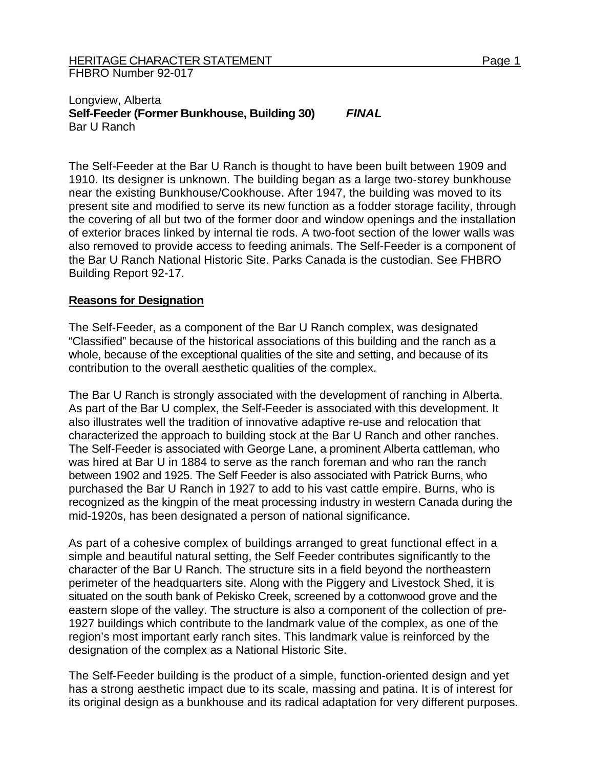## Longview, Alberta **Self-Feeder (Former Bunkhouse, Building 30)** *FINAL*  Bar U Ranch

The Self-Feeder at the Bar U Ranch is thought to have been built between 1909 and 1910. Its designer is unknown. The building began as a large two-storey bunkhouse near the existing Bunkhouse/Cookhouse. After 1947, the building was moved to its present site and modified to serve its new function as a fodder storage facility, through the covering of all but two of the former door and window openings and the installation of exterior braces linked by internal tie rods. A two-foot section of the lower walls was also removed to provide access to feeding animals. The Self-Feeder is a component of the Bar U Ranch National Historic Site. Parks Canada is the custodian. See FHBRO Building Report 92-17.

## **Reasons for Designation**

The Self-Feeder, as a component of the Bar U Ranch complex, was designated "Classified" because of the historical associations of this building and the ranch as a whole, because of the exceptional qualities of the site and setting, and because of its contribution to the overall aesthetic qualities of the complex.

The Bar U Ranch is strongly associated with the development of ranching in Alberta. As part of the Bar U complex, the Self-Feeder is associated with this development. It also illustrates well the tradition of innovative adaptive re-use and relocation that characterized the approach to building stock at the Bar U Ranch and other ranches. The Self-Feeder is associated with George Lane, a prominent Alberta cattleman, who was hired at Bar U in 1884 to serve as the ranch foreman and who ran the ranch between 1902 and 1925. The Self Feeder is also associated with Patrick Burns, who purchased the Bar U Ranch in 1927 to add to his vast cattle empire. Burns, who is recognized as the kingpin of the meat processing industry in western Canada during the mid-1920s, has been designated a person of national significance.

As part of a cohesive complex of buildings arranged to great functional effect in a simple and beautiful natural setting, the Self Feeder contributes significantly to the character of the Bar U Ranch. The structure sits in a field beyond the northeastern perimeter of the headquarters site. Along with the Piggery and Livestock Shed, it is situated on the south bank of Pekisko Creek, screened by a cottonwood grove and the eastern slope of the valley. The structure is also a component of the collection of pre-1927 buildings which contribute to the landmark value of the complex, as one of the region's most important early ranch sites. This landmark value is reinforced by the designation of the complex as a National Historic Site.

The Self-Feeder building is the product of a simple, function-oriented design and yet has a strong aesthetic impact due to its scale, massing and patina. It is of interest for its original design as a bunkhouse and its radical adaptation for very different purposes.